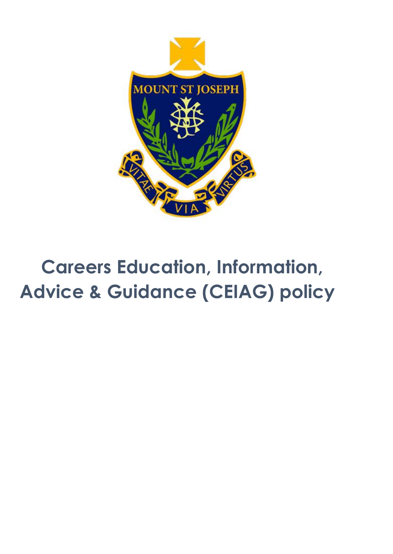

# **Careers Education, Information, Advice & Guidance (CEIAG) policy**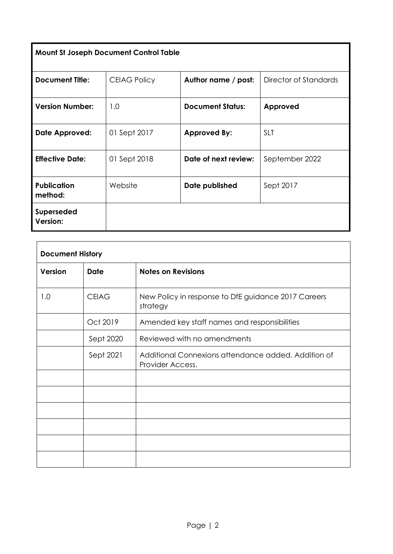|  | <b>Mount St Joseph Document Control Table</b> |
|--|-----------------------------------------------|
|  |                                               |

| <b>Document Title:</b>        | <b>CEIAG Policy</b> | Author name / post:     | Director of Standards |
|-------------------------------|---------------------|-------------------------|-----------------------|
| <b>Version Number:</b>        | 1.0                 | <b>Document Status:</b> | Approved              |
| Date Approved:                | 01 Sept 2017        | <b>Approved By:</b>     | <b>SLT</b>            |
| <b>Effective Date:</b>        | 01 Sept 2018        | Date of next review:    | September 2022        |
| <b>Publication</b><br>method: | Website             | Date published          | Sept 2017             |
| Superseded<br>Version:        |                     |                         |                       |

| <b>Document History</b> |              |                                                                         |  |
|-------------------------|--------------|-------------------------------------------------------------------------|--|
| Version                 | <b>Date</b>  | <b>Notes on Revisions</b>                                               |  |
| 1.0                     | <b>CEIAG</b> | New Policy in response to DfE guidance 2017 Careers<br>strategy         |  |
|                         | Oct 2019     | Amended key staff names and responsibilities                            |  |
|                         | Sept 2020    | Reviewed with no amendments                                             |  |
|                         | Sept 2021    | Additional Connexions attendance added. Addition of<br>Provider Access. |  |
|                         |              |                                                                         |  |
|                         |              |                                                                         |  |
|                         |              |                                                                         |  |
|                         |              |                                                                         |  |
|                         |              |                                                                         |  |
|                         |              |                                                                         |  |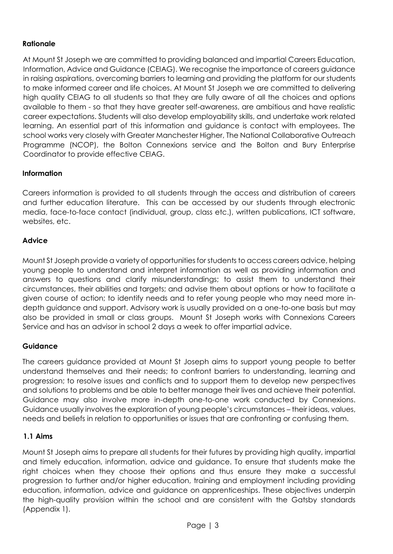# **Rationale**

At Mount St Joseph we are committed to providing balanced and impartial Careers Education, Information, Advice and Guidance (CEIAG). We recognise the importance of careers guidance in raising aspirations, overcoming barriers to learning and providing the platform for our students to make informed career and life choices. At Mount St Joseph we are committed to delivering high quality CEIAG to all students so that they are fully aware of all the choices and options available to them - so that they have greater self-awareness, are ambitious and have realistic career expectations. Students will also develop employability skills, and undertake work related learning. An essential part of this information and guidance is contact with employees. The school works very closely with Greater Manchester Higher, The National Collaborative Outreach Programme (NCOP), the Bolton Connexions service and the Bolton and Bury Enterprise Coordinator to provide effective CEIAG.

# **Information**

Careers information is provided to all students through the access and distribution of careers and further education literature. This can be accessed by our students through electronic media, face-to-face contact (individual, group, class etc.), written publications, ICT software, websites, etc.

#### **Advice**

Mount St Joseph provide a variety of opportunities for students to access careers advice, helping young people to understand and interpret information as well as providing information and answers to questions and clarify misunderstandings; to assist them to understand their circumstances, their abilities and targets; and advise them about options or how to facilitate a given course of action; to identify needs and to refer young people who may need more indepth guidance and support. Advisory work is usually provided on a one-to-one basis but may also be provided in small or class groups. Mount St Joseph works with Connexions Careers Service and has an advisor in school 2 days a week to offer impartial advice.

#### **Guidance**

The careers guidance provided at Mount St Joseph aims to support young people to better understand themselves and their needs; to confront barriers to understanding, learning and progression; to resolve issues and conflicts and to support them to develop new perspectives and solutions to problems and be able to better manage their lives and achieve their potential. Guidance may also involve more in-depth one-to-one work conducted by Connexions. Guidance usually involves the exploration of young people's circumstances – their ideas, values, needs and beliefs in relation to opportunities or issues that are confronting or confusing them.

#### **1.1 Aims**

Mount St Joseph aims to prepare all students for their futures by providing high quality, impartial and timely education, information, advice and guidance. To ensure that students make the right choices when they choose their options and thus ensure they make a successful progression to further and/or higher education, training and employment including providing education, information, advice and guidance on apprenticeships. These objectives underpin the high-quality provision within the school and are consistent with the Gatsby standards (Appendix 1).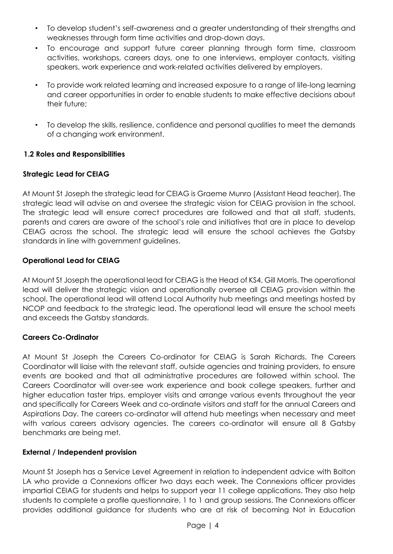- To develop student's self-awareness and a greater understanding of their strengths and weaknesses through form time activities and drop-down days.
- To encourage and support future career planning through form time, classroom activities, workshops, careers days, one to one interviews, employer contacts, visiting speakers, work experience and work-related activities delivered by employers.
- To provide work related learning and increased exposure to a range of life-long learning and career opportunities in order to enable students to make effective decisions about their future;
- To develop the skills, resilience, confidence and personal qualities to meet the demands of a changing work environment.

# **1.2 Roles and Responsibilities**

# **Strategic Lead for CEIAG**

At Mount St Joseph the strategic lead for CEIAG is Graeme Munro (Assistant Head teacher). The strategic lead will advise on and oversee the strategic vision for CEIAG provision in the school. The strategic lead will ensure correct procedures are followed and that all staff, students, parents and carers are aware of the school's role and initiatives that are in place to develop CEIAG across the school. The strategic lead will ensure the school achieves the Gatsby standards in line with government guidelines.

#### **Operational Lead for CEIAG**

At Mount St Joseph the operational lead for CEIAG is the Head of KS4, Gill Morris. The operational lead will deliver the strategic vision and operationally oversee all CEIAG provision within the school. The operational lead will attend Local Authority hub meetings and meetings hosted by NCOP and feedback to the strategic lead. The operational lead will ensure the school meets and exceeds the Gatsby standards.

#### **Careers Co-Ordinator**

At Mount St Joseph the Careers Co-ordinator for CEIAG is Sarah Richards. The Careers Coordinator will liaise with the relevant staff, outside agencies and training providers, to ensure events are booked and that all administrative procedures are followed within school. The Careers Coordinator will over-see work experience and book college speakers, further and higher education taster trips, employer visits and arrange various events throughout the year and specifically for Careers Week and co-ordinate visitors and staff for the annual Careers and Aspirations Day. The careers co-ordinator will attend hub meetings when necessary and meet with various careers advisory agencies. The careers co-ordinator will ensure all 8 Gatsby benchmarks are being met.

#### **External / Independent provision**

Mount St Joseph has a Service Level Agreement in relation to independent advice with Bolton LA who provide a Connexions officer two days each week. The Connexions officer provides impartial CEIAG for students and helps to support year 11 college applications. They also help students to complete a profile questionnaire, 1 to 1 and group sessions. The Connexions officer provides additional guidance for students who are at risk of becoming Not in Education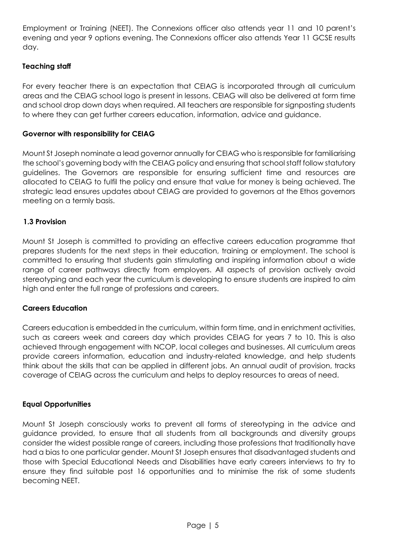Employment or Training (NEET). The Connexions officer also attends year 11 and 10 parent's evening and year 9 options evening. The Connexions officer also attends Year 11 GCSE results day.

# **Teaching staff**

For every teacher there is an expectation that CEIAG is incorporated through all curriculum areas and the CEIAG school logo is present in lessons. CEIAG will also be delivered at form time and school drop down days when required. All teachers are responsible for signposting students to where they can get further careers education, information, advice and guidance.

# **Governor with responsibility for CEIAG**

Mount St Joseph nominate a lead governor annually for CEIAG who is responsible for familiarising the school's governing body with the CEIAG policy and ensuring that school staff follow statutory guidelines. The Governors are responsible for ensuring sufficient time and resources are allocated to CEIAG to fulfil the policy and ensure that value for money is being achieved. The strategic lead ensures updates about CEIAG are provided to governors at the Ethos governors meeting on a termly basis.

#### **1.3 Provision**

Mount St Joseph is committed to providing an effective careers education programme that prepares students for the next steps in their education, training or employment. The school is committed to ensuring that students gain stimulating and inspiring information about a wide range of career pathways directly from employers. All aspects of provision actively avoid stereotyping and each year the curriculum is developing to ensure students are inspired to aim high and enter the full range of professions and careers.

#### **Careers Education**

Careers education is embedded in the curriculum, within form time, and in enrichment activities, such as careers week and careers day which provides CEIAG for years 7 to 10. This is also achieved through engagement with NCOP, local colleges and businesses. All curriculum areas provide careers information, education and industry-related knowledge, and help students think about the skills that can be applied in different jobs. An annual audit of provision, tracks coverage of CEIAG across the curriculum and helps to deploy resources to areas of need.

#### **Equal Opportunities**

Mount St Joseph consciously works to prevent all forms of stereotyping in the advice and guidance provided, to ensure that all students from all backgrounds and diversity groups consider the widest possible range of careers, including those professions that traditionally have had a bias to one particular gender. Mount St Joseph ensures that disadvantaged students and those with Special Educational Needs and Disabilities have early careers interviews to try to ensure they find suitable post 16 opportunities and to minimise the risk of some students becoming NEET.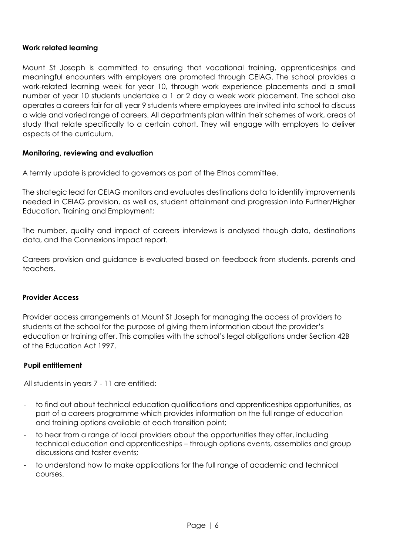# **Work related learning**

Mount St Joseph is committed to ensuring that vocational training, apprenticeships and meaningful encounters with employers are promoted through CEIAG. The school provides a work-related learning week for year 10, through work experience placements and a small number of year 10 students undertake a 1 or 2 day a week work placement. The school also operates a careers fair for all year 9 students where employees are invited into school to discuss a wide and varied range of careers. All departments plan within their schemes of work, areas of study that relate specifically to a certain cohort. They will engage with employers to deliver aspects of the curriculum.

#### **Monitoring, reviewing and evaluation**

A termly update is provided to governors as part of the Ethos committee.

The strategic lead for CEIAG monitors and evaluates destinations data to identify improvements needed in CEIAG provision, as well as, student attainment and progression into Further/Higher Education, Training and Employment;

The number, quality and impact of careers interviews is analysed though data, destinations data, and the Connexions impact report.

Careers provision and guidance is evaluated based on feedback from students, parents and teachers.

#### **Provider Access**

Provider access arrangements at Mount St Joseph for managing the access of providers to students at the school for the purpose of giving them information about the provider's education or training offer. This complies with the school's legal obligations under Section 42B of the Education Act 1997.

#### **Pupil entitlement**

All students in years 7 - 11 are entitled:

- to find out about technical education qualifications and apprenticeships opportunities, as part of a careers programme which provides information on the full range of education and training options available at each transition point;
- to hear from a range of local providers about the opportunities they offer, including technical education and apprenticeships – through options events, assemblies and group discussions and taster events;
- to understand how to make applications for the full range of academic and technical courses.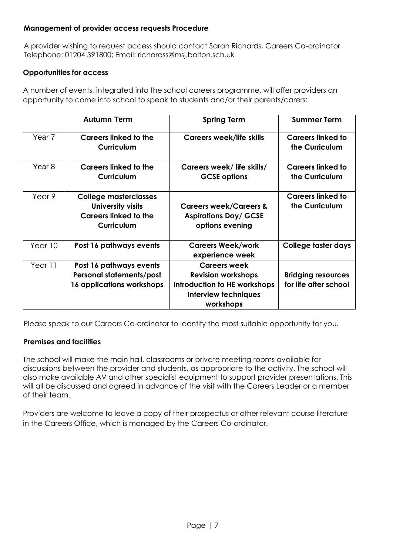# **Management of provider access requests Procedure**

A provider wishing to request access should contact Sarah Richards, Careers Co-ordinator Telephone: 01204 391800; Email: richardss@msj.bolton.sch.uk

# **Opportunities for access**

A number of events, integrated into the school careers programme, will offer providers an opportunity to come into school to speak to students and/or their parents/carers:

|                   | <b>Autumn Term</b>                                                                                     | <b>Spring Term</b>                                                                                                    | <b>Summer Term</b>                                 |
|-------------------|--------------------------------------------------------------------------------------------------------|-----------------------------------------------------------------------------------------------------------------------|----------------------------------------------------|
| Year <sub>7</sub> | <b>Careers linked to the</b><br><b>Curriculum</b>                                                      | <b>Careers week/life skills</b>                                                                                       | <b>Careers linked to</b><br>the Curriculum         |
| Year <sub>8</sub> | <b>Careers linked to the</b><br><b>Curriculum</b>                                                      | Careers week/life skills/<br><b>GCSE options</b>                                                                      | <b>Careers linked to</b><br>the Curriculum         |
| Year 9            | <b>College masterclasses</b><br>University visits<br><b>Careers linked to the</b><br><b>Curriculum</b> | <b>Careers week/Careers &amp;</b><br><b>Aspirations Day/ GCSE</b><br>options evening                                  | <b>Careers linked to</b><br>the Curriculum         |
| Year 10           | Post 16 pathways events                                                                                | <b>Careers Week/work</b><br>experience week                                                                           | College taster days                                |
| Year 11           | Post 16 pathways events<br><b>Personal statements/post</b><br>16 applications workshops                | <b>Careers week</b><br><b>Revision workshops</b><br>Introduction to HE workshops<br>Interview techniques<br>workshops | <b>Bridging resources</b><br>for life after school |

Please speak to our Careers Co-ordinator to identify the most suitable opportunity for you.

# **Premises and facilities**

The school will make the main hall, classrooms or private meeting rooms available for discussions between the provider and students, as appropriate to the activity. The school will also make available AV and other specialist equipment to support provider presentations. This will all be discussed and agreed in advance of the visit with the Careers Leader or a member of their team.

Providers are welcome to leave a copy of their prospectus or other relevant course literature in the Careers Office, which is managed by the Careers Co-ordinator.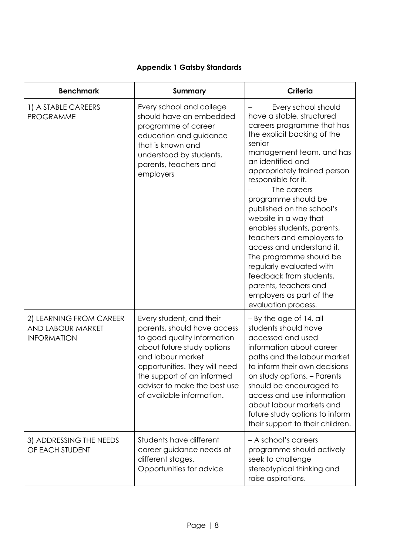# **Appendix 1 Gatsby Standards**

| <b>Benchmark</b>                                                   | Summary                                                                                                                                                                                                                                                               | <b>Criteria</b>                                                                                                                                                                                                                                                                                                                                                                                                                                                                                                                                                                   |
|--------------------------------------------------------------------|-----------------------------------------------------------------------------------------------------------------------------------------------------------------------------------------------------------------------------------------------------------------------|-----------------------------------------------------------------------------------------------------------------------------------------------------------------------------------------------------------------------------------------------------------------------------------------------------------------------------------------------------------------------------------------------------------------------------------------------------------------------------------------------------------------------------------------------------------------------------------|
| 1) A STABLE CAREERS<br><b>PROGRAMME</b>                            | Every school and college<br>should have an embedded<br>programme of career<br>education and guidance<br>that is known and<br>understood by students,<br>parents, teachers and<br>employers                                                                            | Every school should<br>have a stable, structured<br>careers programme that has<br>the explicit backing of the<br>senior<br>management team, and has<br>an identified and<br>appropriately trained person<br>responsible for it.<br>The careers<br>programme should be<br>published on the school's<br>website in a way that<br>enables students, parents,<br>teachers and employers to<br>access and understand it.<br>The programme should be<br>regularly evaluated with<br>feedback from students,<br>parents, teachers and<br>employers as part of the<br>evaluation process. |
| 2) LEARNING FROM CAREER<br>AND LABOUR MARKET<br><b>INFORMATION</b> | Every student, and their<br>parents, should have access<br>to good quality information<br>about future study options<br>and labour market<br>opportunities. They will need<br>the support of an informed<br>adviser to make the best use<br>of available information. | $-$ By the age of 14, all<br>students should have<br>accessed and used<br>information about career<br>paths and the labour market<br>to inform their own decisions<br>on study options. - Parents<br>should be encouraged to<br>access and use information<br>about labour markets and<br>future study options to inform<br>their support to their children.                                                                                                                                                                                                                      |
| 3) ADDRESSING THE NEEDS<br>OF EACH STUDENT                         | Students have different<br>career guidance needs at<br>different stages.<br>Opportunities for advice                                                                                                                                                                  | - A school's careers<br>programme should actively<br>seek to challenge<br>stereotypical thinking and<br>raise aspirations.                                                                                                                                                                                                                                                                                                                                                                                                                                                        |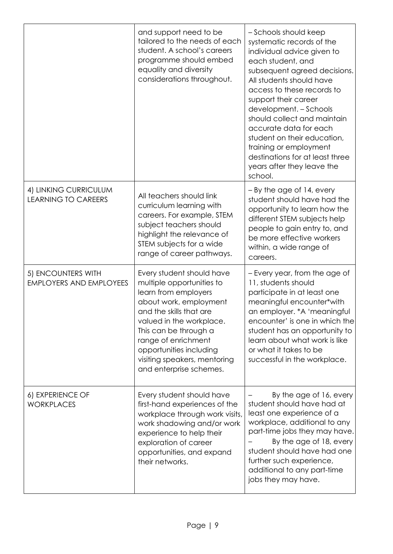|                                                      | and support need to be<br>tailored to the needs of each<br>student. A school's careers<br>programme should embed<br>equality and diversity<br>considerations throughout.                                                                                                                              | - Schools should keep<br>systematic records of the<br>individual advice given to<br>each student, and<br>subsequent agreed decisions.<br>All students should have<br>access to these records to<br>support their career<br>development. - Schools<br>should collect and maintain<br>accurate data for each<br>student on their education,<br>training or employment<br>destinations for at least three<br>years after they leave the<br>school. |
|------------------------------------------------------|-------------------------------------------------------------------------------------------------------------------------------------------------------------------------------------------------------------------------------------------------------------------------------------------------------|-------------------------------------------------------------------------------------------------------------------------------------------------------------------------------------------------------------------------------------------------------------------------------------------------------------------------------------------------------------------------------------------------------------------------------------------------|
| 4) LINKING CURRICULUM<br><b>LEARNING TO CAREERS</b>  | All teachers should link<br>curriculum learning with<br>careers. For example, STEM<br>subject teachers should<br>highlight the relevance of<br>STEM subjects for a wide<br>range of career pathways.                                                                                                  | $-$ By the age of 14, every<br>student should have had the<br>opportunity to learn how the<br>different STEM subjects help<br>people to gain entry to, and<br>be more effective workers<br>within, a wide range of<br>careers.                                                                                                                                                                                                                  |
| 5) ENCOUNTERS WITH<br><b>EMPLOYERS AND EMPLOYEES</b> | Every student should have<br>multiple opportunities to<br>learn from employers<br>about work, employment<br>and the skills that are<br>valued in the workplace.<br>This can be through a<br>range of enrichment<br>opportunities including<br>visiting speakers, mentoring<br>and enterprise schemes. | - Every year, from the age of<br>11, students should<br>participate in at least one<br>meaningful encounter*with<br>an employer. * A 'meaningful<br>encounter' is one in which the<br>student has an opportunity to<br>learn about what work is like<br>or what it takes to be<br>successful in the workplace.                                                                                                                                  |
| 6) EXPERIENCE OF<br><b>WORKPLACES</b>                | Every student should have<br>first-hand experiences of the<br>workplace through work visits,<br>work shadowing and/or work<br>experience to help their<br>exploration of career<br>opportunities, and expand<br>their networks.                                                                       | By the age of 16, every<br>student should have had at<br>least one experience of a<br>workplace, additional to any<br>part-time jobs they may have.<br>By the age of 18, every<br>student should have had one<br>further such experience,<br>additional to any part-time<br>jobs they may have.                                                                                                                                                 |